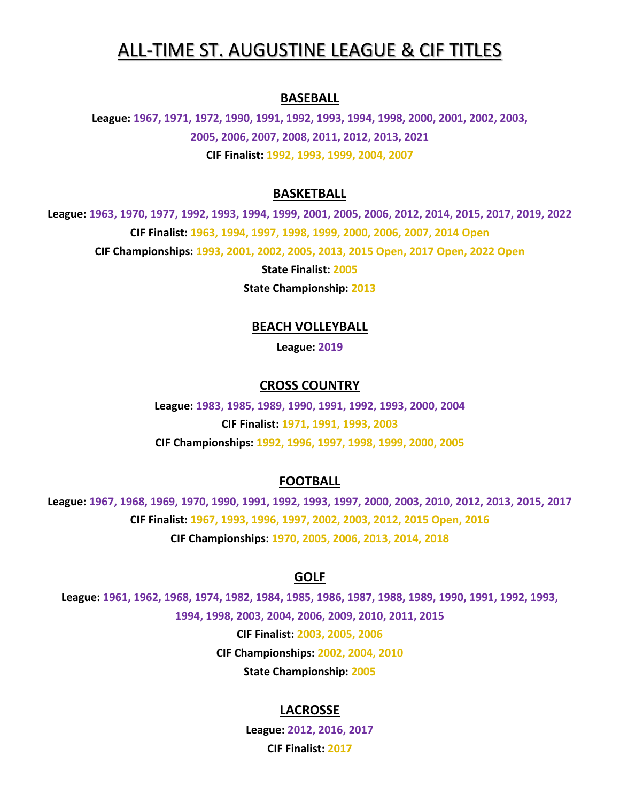# ALL-TIME ST. AUGUSTINE LEAGUE & CIF TITLES

#### **BASEBALL**

**League: 1967, 1971, 1972, 1990, 1991, 1992, 1993, 1994, 1998, 2000, 2001, 2002, 2003, 2005, 2006, 2007, 2008, 2011, 2012, 2013, 2021 CIF Finalist: 1992, 1993, 1999, 2004, 2007**

# **BASKETBALL**

**League: 1963, 1970, 1977, 1992, 1993, 1994, 1999, 2001, 2005, 2006, 2012, 2014, 2015, 2017, 2019, 2022 CIF Finalist: 1963, 1994, 1997, 1998, 1999, 2000, 2006, 2007, 2014 Open CIF Championships: 1993, 2001, 2002, 2005, 2013, 2015 Open, 2017 Open, 2022 Open**

**State Finalist: 2005**

**State Championship: 2013**

#### **BEACH VOLLEYBALL**

**League: 2019**

#### **CROSS COUNTRY**

**League: 1983, 1985, 1989, 1990, 1991, 1992, 1993, 2000, 2004 CIF Finalist: 1971, 1991, 1993, 2003 CIF Championships: 1992, 1996, 1997, 1998, 1999, 2000, 2005**

## **FOOTBALL**

**League: 1967, 1968, 1969, 1970, 1990, 1991, 1992, 1993, 1997, 2000, 2003, 2010, 2012, 2013, 2015, 2017 CIF Finalist: 1967, 1993, 1996, 1997, 2002, 2003, 2012, 2015 Open, 2016 CIF Championships: 1970, 2005, 2006, 2013, 2014, 2018**

#### **GOLF**

**League: 1961, 1962, 1968, 1974, 1982, 1984, 1985, 1986, 1987, 1988, 1989, 1990, 1991, 1992, 1993, 1994, 1998, 2003, 2004, 2006, 2009, 2010, 2011, 2015 CIF Finalist: 2003, 2005, 2006 CIF Championships: 2002, 2004, 2010 State Championship: 2005**

## **LACROSSE**

**League: 2012, 2016, 2017 CIF Finalist: 2017**